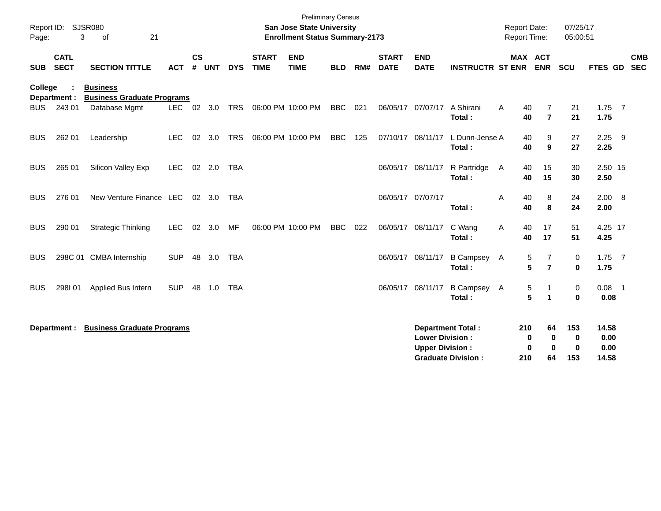| Report ID: SJSR080<br>3<br>21<br>οf<br>Page: |                            |                                                      |            |               |                | <b>Preliminary Census</b><br><b>San Jose State University</b><br><b>Enrollment Status Summary-2173</b> |                             |                           |            |     |                             |                                                  |                                                       | 07/25/17<br><b>Report Date:</b><br><b>Report Time:</b><br>05:00:51 |                                            |                      |                                |                          |
|----------------------------------------------|----------------------------|------------------------------------------------------|------------|---------------|----------------|--------------------------------------------------------------------------------------------------------|-----------------------------|---------------------------|------------|-----|-----------------------------|--------------------------------------------------|-------------------------------------------------------|--------------------------------------------------------------------|--------------------------------------------|----------------------|--------------------------------|--------------------------|
| <b>SUB</b>                                   | <b>CATL</b><br><b>SECT</b> | <b>SECTION TITTLE</b>                                | <b>ACT</b> | $\mathsf{cs}$ | # UNT          | <b>DYS</b>                                                                                             | <b>START</b><br><b>TIME</b> | <b>END</b><br><b>TIME</b> | <b>BLD</b> | RM# | <b>START</b><br><b>DATE</b> | <b>END</b><br><b>DATE</b>                        | <b>INSTRUCTR ST ENR</b>                               |                                                                    | MAX ACT<br><b>ENR</b>                      | <b>SCU</b>           | FTES GD                        | <b>CMB</b><br><b>SEC</b> |
| College                                      | Department :               | <b>Business</b><br><b>Business Graduate Programs</b> |            |               |                |                                                                                                        |                             |                           |            |     |                             |                                                  |                                                       |                                                                    |                                            |                      |                                |                          |
| <b>BUS</b>                                   | 243 01                     | Database Mgmt                                        | <b>LEC</b> |               | $02 \quad 3.0$ | <b>TRS</b>                                                                                             |                             | 06:00 PM 10:00 PM         | <b>BBC</b> | 021 | 06/05/17                    | 07/07/17                                         | A Shirani<br>Total:                                   | A<br>40<br>40                                                      | 7<br>$\overline{7}$                        | 21<br>21             | $1.75$ 7<br>1.75               |                          |
| <b>BUS</b>                                   | 262 01                     | Leadership                                           | <b>LEC</b> | 02            | 3.0            | <b>TRS</b>                                                                                             |                             | 06:00 PM 10:00 PM         | <b>BBC</b> | 125 | 07/10/17 08/11/17           |                                                  | L Dunn-Jense A<br>Total:                              | 40<br>40                                                           | 9<br>9                                     | 27<br>27             | $2.25$ 9<br>2.25               |                          |
| <b>BUS</b>                                   | 265 01                     | Silicon Valley Exp                                   | LEC        |               | $02$ 2.0       | <b>TBA</b>                                                                                             |                             |                           |            |     | 06/05/17                    | 08/11/17                                         | R Partridge<br>Total:                                 | 40<br>A<br>40                                                      | 15<br>15                                   | 30<br>30             | 2.50 15<br>2.50                |                          |
| <b>BUS</b>                                   | 276 01                     | New Venture Finance LEC                              |            |               | 02 3.0         | <b>TBA</b>                                                                                             |                             |                           |            |     | 06/05/17 07/07/17           |                                                  | Total:                                                | A<br>40<br>40                                                      | 8<br>8                                     | 24<br>24             | 2.00 8<br>2.00                 |                          |
| <b>BUS</b>                                   | 290 01                     | <b>Strategic Thinking</b>                            | <b>LEC</b> | 02            | 3.0            | MF                                                                                                     |                             | 06:00 PM 10:00 PM         | <b>BBC</b> | 022 | 06/05/17 08/11/17           |                                                  | C Wang<br>Total:                                      | 40<br>Α<br>40                                                      | 17<br>17                                   | 51<br>51             | 4.25 17<br>4.25                |                          |
| <b>BUS</b>                                   |                            | 298C 01 CMBA Internship                              | <b>SUP</b> | 48            | 3.0            | TBA                                                                                                    |                             |                           |            |     | 06/05/17                    | 08/11/17                                         | <b>B Campsey</b><br>Total:                            | $\mathsf{A}$                                                       | 7<br>5<br>$5\phantom{a}$<br>$\overline{7}$ | 0<br>$\mathbf 0$     | $1.75$ 7<br>1.75               |                          |
| <b>BUS</b>                                   | 298101                     | Applied Bus Intern                                   | <b>SUP</b> | 48            | 1.0            | <b>TBA</b>                                                                                             |                             |                           |            |     | 06/05/17 08/11/17           |                                                  | B Campsey A<br>Total:                                 |                                                                    | 5<br>1<br>5<br>$\overline{\mathbf{1}}$     | 0<br>$\mathbf 0$     | $0.08$ 1<br>0.08               |                          |
|                                              | Department :               | <b>Business Graduate Programs</b>                    |            |               |                |                                                                                                        |                             |                           |            |     |                             | <b>Lower Division:</b><br><b>Upper Division:</b> | <b>Department Total:</b><br><b>Graduate Division:</b> | 210<br>210                                                         | 64<br>0<br>0<br>$\bf{0}$<br>0<br>64        | 153<br>0<br>0<br>153 | 14.58<br>0.00<br>0.00<br>14.58 |                          |